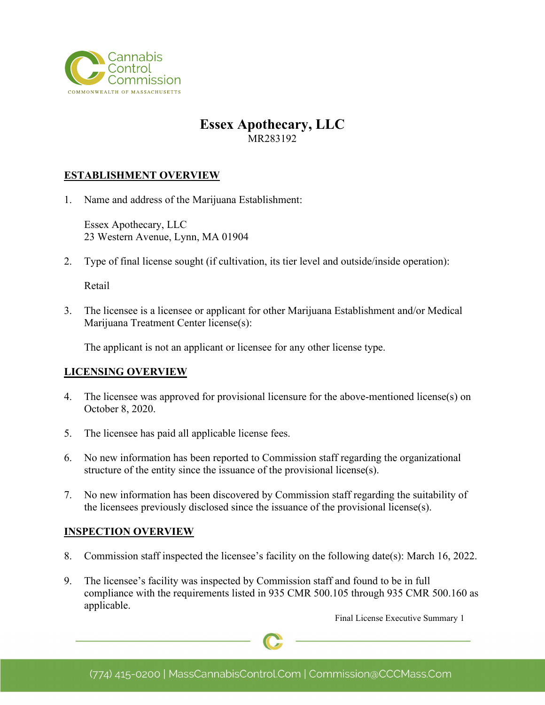

# **Essex Apothecary, LLC** MR283192

# **ESTABLISHMENT OVERVIEW**

1. Name and address of the Marijuana Establishment:

Essex Apothecary, LLC 23 Western Avenue, Lynn, MA 01904

2. Type of final license sought (if cultivation, its tier level and outside/inside operation):

Retail

3. The licensee is a licensee or applicant for other Marijuana Establishment and/or Medical Marijuana Treatment Center license(s):

The applicant is not an applicant or licensee for any other license type.

### **LICENSING OVERVIEW**

- 4. The licensee was approved for provisional licensure for the above-mentioned license(s) on October 8, 2020.
- 5. The licensee has paid all applicable license fees.
- 6. No new information has been reported to Commission staff regarding the organizational structure of the entity since the issuance of the provisional license(s).
- 7. No new information has been discovered by Commission staff regarding the suitability of the licensees previously disclosed since the issuance of the provisional license(s).

### **INSPECTION OVERVIEW**

- 8. Commission staff inspected the licensee's facility on the following date(s): March 16, 2022.
- 9. The licensee's facility was inspected by Commission staff and found to be in full compliance with the requirements listed in 935 CMR 500.105 through 935 CMR 500.160 as applicable.

Final License Executive Summary 1

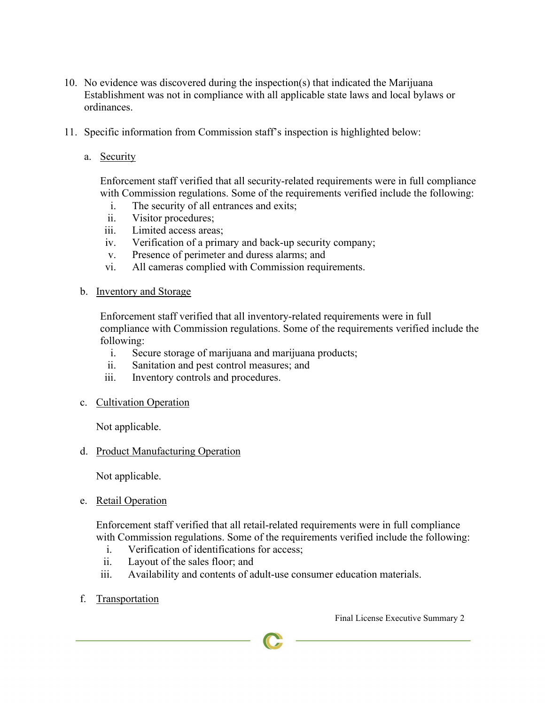- 10. No evidence was discovered during the inspection(s) that indicated the Marijuana Establishment was not in compliance with all applicable state laws and local bylaws or ordinances.
- 11. Specific information from Commission staff's inspection is highlighted below:
	- a. Security

Enforcement staff verified that all security-related requirements were in full compliance with Commission regulations. Some of the requirements verified include the following:

- i. The security of all entrances and exits;
- ii. Visitor procedures;
- iii. Limited access areas;
- iv. Verification of a primary and back-up security company;
- v. Presence of perimeter and duress alarms; and
- vi. All cameras complied with Commission requirements.
- b. Inventory and Storage

Enforcement staff verified that all inventory-related requirements were in full compliance with Commission regulations. Some of the requirements verified include the following:

- i. Secure storage of marijuana and marijuana products;
- ii. Sanitation and pest control measures; and
- iii. Inventory controls and procedures.
- c. Cultivation Operation

Not applicable.

d. Product Manufacturing Operation

Not applicable.

e. Retail Operation

Enforcement staff verified that all retail-related requirements were in full compliance with Commission regulations. Some of the requirements verified include the following:

- i. Verification of identifications for access;
- ii. Layout of the sales floor; and
- iii. Availability and contents of adult-use consumer education materials.
- f. Transportation

Final License Executive Summary 2